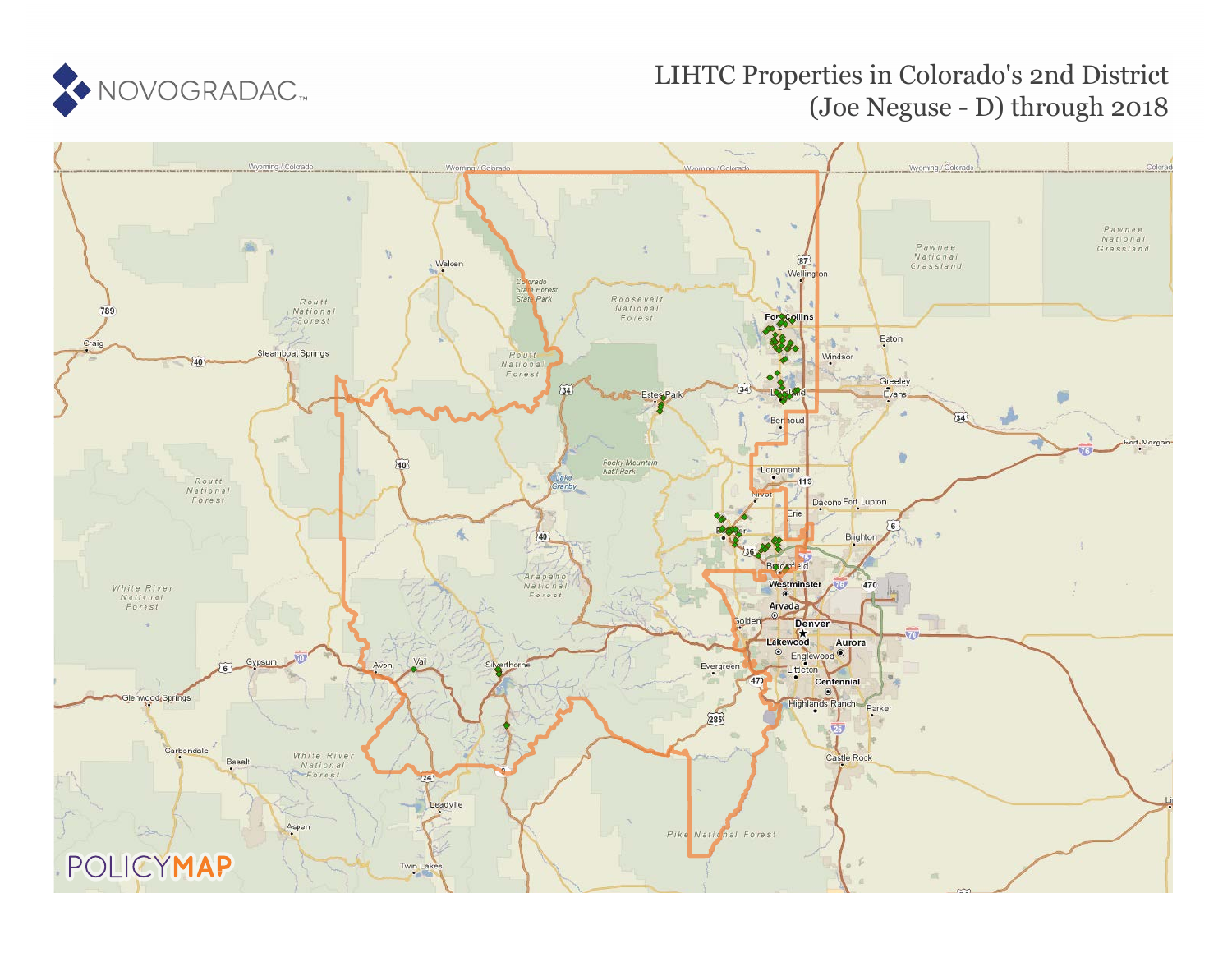

# LIHTC Properties in Colorado's 2nd District (Joe Neguse - D) through 2018

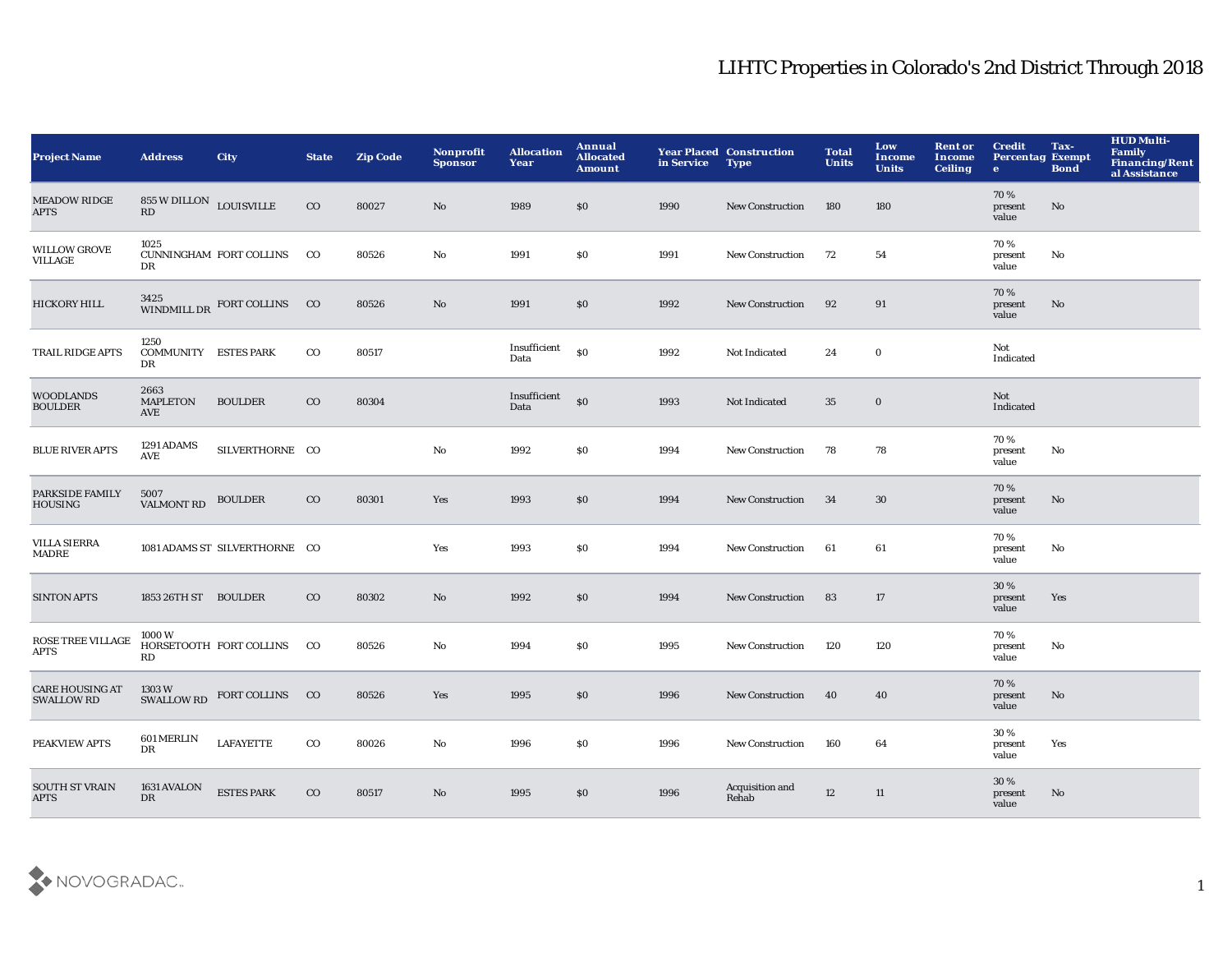| <b>Project Name</b>                         | <b>Address</b>                                 | <b>City</b>                                          | <b>State</b> | <b>Zip Code</b> | Nonprofit<br><b>Sponsor</b> | <b>Allocation</b><br>Year | Annual<br><b>Allocated</b><br>Amount | in Service | <b>Year Placed Construction</b><br><b>Type</b> | <b>Total</b><br><b>Units</b> | Low<br><b>Income</b><br><b>Units</b> | <b>Rent or</b><br><b>Income</b><br><b>Ceiling</b> | <b>Credit</b><br><b>Percentag Exempt</b><br>$\mathbf{e}$ | Tax-<br><b>Bond</b>    | <b>HUD Multi-</b><br>Family<br>Financing/Rent<br>al Assistance |
|---------------------------------------------|------------------------------------------------|------------------------------------------------------|--------------|-----------------|-----------------------------|---------------------------|--------------------------------------|------------|------------------------------------------------|------------------------------|--------------------------------------|---------------------------------------------------|----------------------------------------------------------|------------------------|----------------------------------------------------------------|
| <b>MEADOW RIDGE</b><br><b>APTS</b>          | $855\,\mathrm{W}$ DILLON $\,$ LOUISVILLE<br>RD |                                                      | $_{\rm CO}$  | 80027           | No                          | 1989                      | \$0                                  | 1990       | New Construction                               | 180                          | 180                                  |                                                   | 70%<br>present<br>value                                  | $\mathbf{N}\mathbf{o}$ |                                                                |
| <b>WILLOW GROVE</b><br>VILLAGE              | 1025<br>DR                                     | CUNNINGHAM FORT COLLINS                              | $_{\rm CO}$  | 80526           | No                          | 1991                      | \$0                                  | 1991       | New Construction                               | 72                           | 54                                   |                                                   | 70%<br>present<br>value                                  | No                     |                                                                |
| HICKORY HILL                                |                                                | $3425\atop \rm WINDMILL\,DR$ FORT COLLINS $\quad$ CO |              | 80526           | No                          | 1991                      | \$0                                  | 1992       | <b>New Construction</b>                        | 92                           | 91                                   |                                                   | 70 %<br>present<br>value                                 | No                     |                                                                |
| TRAIL RIDGE APTS                            | 1250<br><b>COMMUNITY ESTES PARK</b><br>DR      |                                                      | $_{\rm CO}$  | 80517           |                             | Insufficient<br>Data      | $\$0$                                | 1992       | Not Indicated                                  | 24                           | $\mathbf 0$                          |                                                   | Not<br>Indicated                                         |                        |                                                                |
| <b>WOODLANDS</b><br><b>BOULDER</b>          | 2663<br><b>MAPLETON</b><br>AVE                 | <b>BOULDER</b>                                       | $_{\rm CO}$  | 80304           |                             | Insufficient<br>Data      | \$0                                  | 1993       | Not Indicated                                  | 35                           | $\bf{0}$                             |                                                   | Not<br>Indicated                                         |                        |                                                                |
| <b>BLUE RIVER APTS</b>                      | 1291 ADAMS<br>AVE                              | SILVERTHORNE CO                                      |              |                 | $\mathbf{No}$               | 1992                      | \$0                                  | 1994       | <b>New Construction</b>                        | 78                           | 78                                   |                                                   | 70%<br>present<br>value                                  | No                     |                                                                |
| PARKSIDE FAMILY<br><b>HOUSING</b>           | 5007<br><b>VALMONT RD</b>                      | <b>BOULDER</b>                                       | $_{\rm CO}$  | 80301           | Yes                         | 1993                      | \$0                                  | 1994       | <b>New Construction</b>                        | 34                           | 30                                   |                                                   | 70%<br>present<br>value                                  | No                     |                                                                |
| <b>VILLA SIERRA</b><br>MADRE                |                                                | 1081 ADAMS ST SILVERTHORNE CO                        |              |                 | Yes                         | 1993                      | \$0                                  | 1994       | <b>New Construction</b>                        | 61                           | 61                                   |                                                   | 70%<br>present<br>value                                  | No                     |                                                                |
| <b>SINTON APTS</b>                          | 1853 26TH ST BOULDER                           |                                                      | $_{\rm CO}$  | 80302           | No                          | 1992                      | \$0                                  | 1994       | <b>New Construction</b>                        | 83                           | 17                                   |                                                   | 30 %<br>present<br>value                                 | Yes                    |                                                                |
| ROSE TREE VILLAGE<br><b>APTS</b>            | 1000 W<br>RD                                   | HORSETOOTH FORT COLLINS                              | $_{\rm CO}$  | 80526           | No                          | 1994                      | \$0                                  | 1995       | New Construction                               | 120                          | 120                                  |                                                   | 70%<br>present<br>value                                  | No                     |                                                                |
| <b>CARE HOUSING AT</b><br><b>SWALLOW RD</b> | 1303 W<br>SWALLOW RD                           | FORT COLLINS CO                                      |              | 80526           | Yes                         | 1995                      | \$0                                  | 1996       | <b>New Construction</b>                        | 40                           | 40                                   |                                                   | 70%<br>present<br>value                                  | No                     |                                                                |
| PEAKVIEW APTS                               | <b>601 MERLIN</b><br>DR                        | <b>LAFAYETTE</b>                                     | $_{\rm CO}$  | 80026           | No                          | 1996                      | \$0                                  | 1996       | <b>New Construction</b>                        | 160                          | 64                                   |                                                   | 30 %<br>present<br>value                                 | Yes                    |                                                                |
| <b>SOUTH ST VRAIN</b><br><b>APTS</b>        | 1631 AVALON<br><b>DR</b>                       | <b>ESTES PARK</b>                                    | $_{\rm CO}$  | 80517           | N <sub>o</sub>              | 1995                      | \$0                                  | 1996       | Acquisition and<br>Rehab                       | 12                           | 11                                   |                                                   | 30 %<br>present<br>value                                 | No.                    |                                                                |

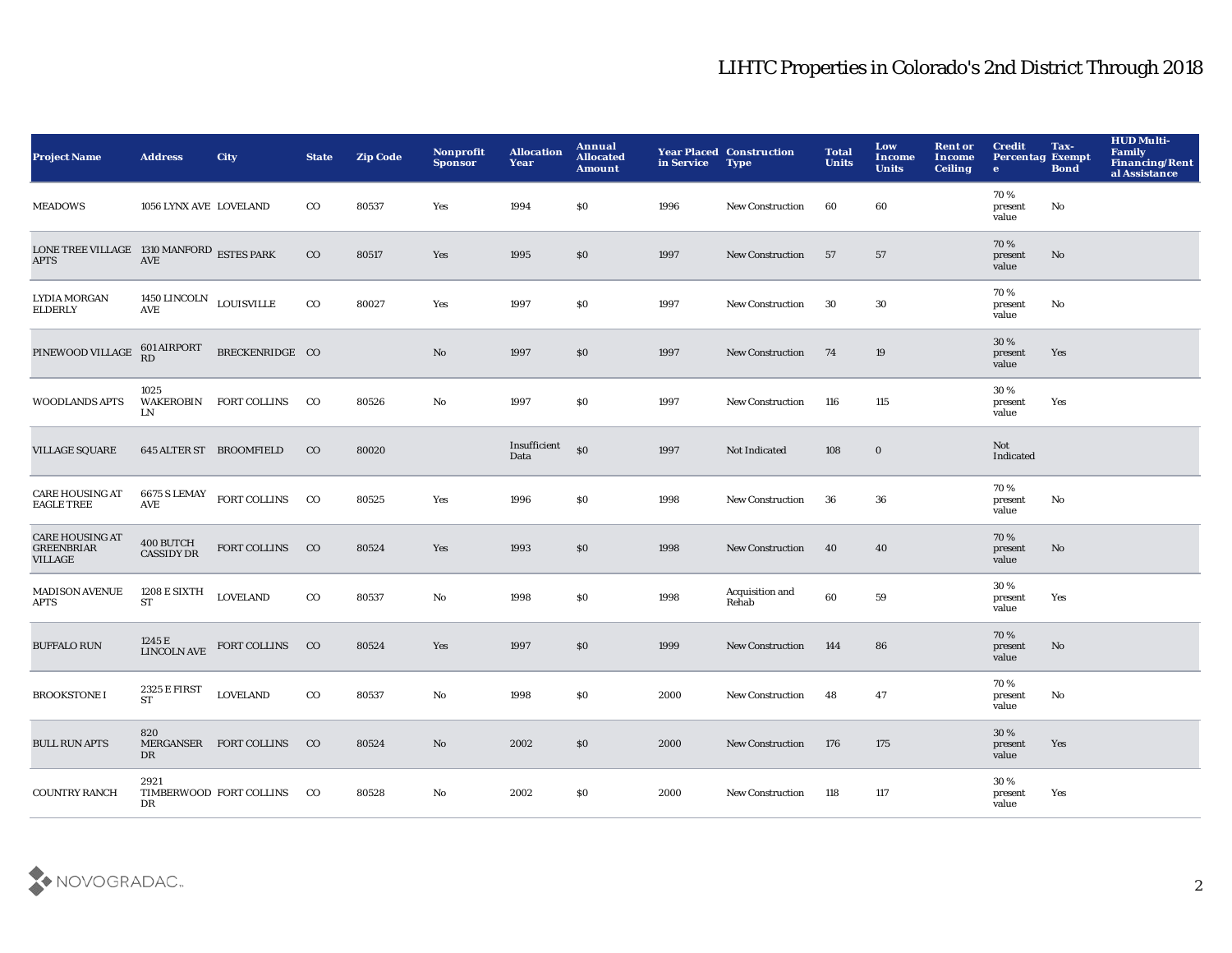| <b>Project Name</b>                                           | <b>Address</b>                        | <b>City</b>                         | <b>State</b>   | <b>Zip Code</b> | Nonprofit<br><b>Sponsor</b> | <b>Allocation</b><br>Year | Annual<br><b>Allocated</b><br><b>Amount</b> | in Service | <b>Year Placed Construction</b><br><b>Type</b> | <b>Total</b><br><b>Units</b> | Low<br><b>Income</b><br><b>Units</b> | <b>Rent or</b><br>Income<br><b>Ceiling</b> | <b>Credit</b><br><b>Percentag Exempt</b><br>$\bullet$ | Tax-<br><b>Bond</b> | <b>HUD Multi-</b><br><b>Family</b><br><b>Financing/Rent</b><br>al Assistance |
|---------------------------------------------------------------|---------------------------------------|-------------------------------------|----------------|-----------------|-----------------------------|---------------------------|---------------------------------------------|------------|------------------------------------------------|------------------------------|--------------------------------------|--------------------------------------------|-------------------------------------------------------|---------------------|------------------------------------------------------------------------------|
| <b>MEADOWS</b>                                                | 1056 LYNX AVE LOVELAND                |                                     | $_{\rm CO}$    | 80537           | Yes                         | 1994                      | \$0                                         | 1996       | <b>New Construction</b>                        | 60                           | 60                                   |                                            | 70%<br>present<br>value                               | No                  |                                                                              |
| LONE TREE VILLAGE 1310 MANFORD ESTES PARK<br><b>APTS</b>      | AVE                                   |                                     | $_{\rm CO}$    | 80517           | Yes                         | 1995                      | \$0                                         | 1997       | New Construction                               | 57                           | 57                                   |                                            | 70%<br>present<br>value                               | No                  |                                                                              |
| <b>LYDIA MORGAN</b><br><b>ELDERLY</b>                         | 1450 LINCOLN LOUISVILLE<br><b>AVE</b> |                                     | $_{\rm CO}$    | 80027           | Yes                         | 1997                      | \$0                                         | 1997       | <b>New Construction</b>                        | 30                           | 30                                   |                                            | 70%<br>present<br>value                               | No                  |                                                                              |
| PINEWOOD VILLAGE                                              | 601 AIRPORT<br>RD                     | BRECKENRIDGE CO                     |                |                 | $\mathbf{N}\mathbf{o}$      | 1997                      | \$0                                         | 1997       | <b>New Construction</b>                        | 74                           | 19                                   |                                            | 30 %<br>present<br>value                              | Yes                 |                                                                              |
| <b>WOODLANDS APTS</b>                                         | 1025<br>LN                            | WAKEROBIN FORT COLLINS              | $_{\rm CO}$    | 80526           | $\mathbf{No}$               | 1997                      | \$0                                         | 1997       | <b>New Construction</b>                        | 116                          | 115                                  |                                            | 30%<br>present<br>value                               | Yes                 |                                                                              |
| <b>VILLAGE SQUARE</b>                                         | <b>645 ALTER ST BROOMFIELD</b>        |                                     | $_{\rm CO}$    | 80020           |                             | Insufficient<br>Data      | $\boldsymbol{\mathsf{S}}$                   | 1997       | Not Indicated                                  | 108                          | $\bf{0}$                             |                                            | Not<br>Indicated                                      |                     |                                                                              |
| <b>CARE HOUSING AT</b><br><b>EAGLE TREE</b>                   | AVE                                   | $6675$ S LEMAY $\quad$ FORT COLLINS | $_{\rm CO}$    | 80525           | Yes                         | 1996                      | \$0                                         | 1998       | <b>New Construction</b>                        | 36                           | 36                                   |                                            | 70%<br>present<br>value                               | No                  |                                                                              |
| <b>CARE HOUSING AT</b><br><b>GREENBRIAR</b><br><b>VILLAGE</b> | 400 BUTCH<br><b>CASSIDY DR</b>        | FORT COLLINS                        | CO             | 80524           | Yes                         | 1993                      | \$0                                         | 1998       | <b>New Construction</b>                        | 40                           | 40                                   |                                            | 70%<br>present<br>value                               | No                  |                                                                              |
| <b>MADISON AVENUE</b><br><b>APTS</b>                          | 1208 E SIXTH<br>ST                    | <b>LOVELAND</b>                     | $_{\rm CO}$    | 80537           | No                          | 1998                      | \$0                                         | 1998       | Acquisition and<br>Rehab                       | 60                           | 59                                   |                                            | 30 %<br>present<br>value                              | Yes                 |                                                                              |
| <b>BUFFALO RUN</b>                                            | 1245 E<br><b>LINCOLN AVE</b>          | FORT COLLINS                        | CO             | 80524           | Yes                         | 1997                      | \$0                                         | 1999       | New Construction                               | 144                          | 86                                   |                                            | 70%<br>present<br>value                               | No                  |                                                                              |
| <b>BROOKSTONE I</b>                                           | 2325 E FIRST<br>ST                    | <b>LOVELAND</b>                     | $_{\rm CO}$    | 80537           | No                          | 1998                      | \$0                                         | 2000       | <b>New Construction</b>                        | 48                           | 47                                   |                                            | 70%<br>present<br>value                               | No                  |                                                                              |
| <b>BULL RUN APTS</b>                                          | 820<br>DR                             | MERGANSER FORT COLLINS              | $_{\rm CO}$    | 80524           | $\mathbf{N}\mathbf{o}$      | 2002                      | \$0                                         | 2000       | <b>New Construction</b>                        | 176                          | 175                                  |                                            | 30%<br>present<br>value                               | Yes                 |                                                                              |
| <b>COUNTRY RANCH</b>                                          | 2921<br>DR                            | TIMBERWOOD FORT COLLINS             | <sub>c</sub> o | 80528           | No                          | 2002                      | \$0                                         | 2000       | <b>New Construction</b>                        | 118                          | 117                                  |                                            | 30%<br>present<br>value                               | Yes                 |                                                                              |

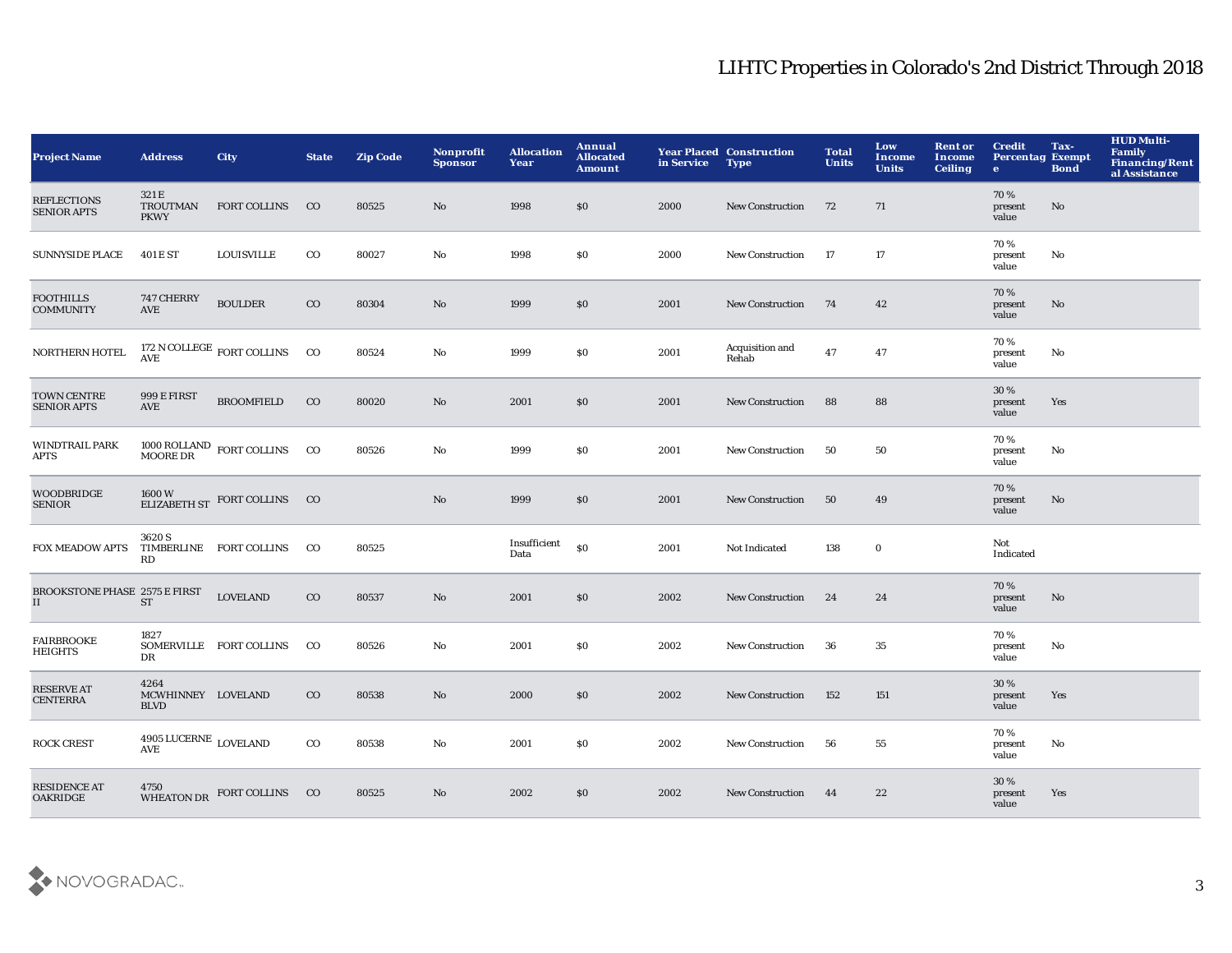| <b>Project Name</b>                        | <b>Address</b>                                   | <b>City</b>                                                                               | <b>State</b> | <b>Zip Code</b> | Nonprofit<br><b>Sponsor</b> | <b>Allocation</b><br>Year | Annual<br><b>Allocated</b><br>Amount | in Service | <b>Year Placed Construction</b><br><b>Type</b> | <b>Total</b><br><b>Units</b> | Low<br><b>Income</b><br><b>Units</b> | <b>Rent or</b><br><b>Income</b><br><b>Ceiling</b> | <b>Credit</b><br><b>Percentag Exempt</b><br>$\bullet$ | Tax-<br><b>Bond</b> | <b>HUD Multi-</b><br>Family<br><b>Financing/Rent</b><br>al Assistance |
|--------------------------------------------|--------------------------------------------------|-------------------------------------------------------------------------------------------|--------------|-----------------|-----------------------------|---------------------------|--------------------------------------|------------|------------------------------------------------|------------------------------|--------------------------------------|---------------------------------------------------|-------------------------------------------------------|---------------------|-----------------------------------------------------------------------|
| <b>REFLECTIONS</b><br><b>SENIOR APTS</b>   | 321 E<br><b>TROUTMAN</b><br><b>PKWY</b>          | <b>FORT COLLINS</b>                                                                       | CO           | 80525           | No                          | 1998                      | \$0                                  | 2000       | <b>New Construction</b>                        | 72                           | 71                                   |                                                   | 70%<br>present<br>value                               | No                  |                                                                       |
| <b>SUNNYSIDE PLACE</b>                     | 401 E ST                                         | <b>LOUISVILLE</b>                                                                         | $_{\rm CO}$  | 80027           | No                          | 1998                      | <b>SO</b>                            | 2000       | <b>New Construction</b>                        | - 17                         | 17                                   |                                                   | 70%<br>present<br>value                               | No                  |                                                                       |
| <b>FOOTHILLS</b><br><b>COMMUNITY</b>       | 747 CHERRY<br>AVE                                | <b>BOULDER</b>                                                                            | $_{\rm CO}$  | 80304           | No                          | 1999                      | \$0                                  | 2001       | <b>New Construction</b>                        | 74                           | 42                                   |                                                   | 70%<br>present<br>value                               | No                  |                                                                       |
| NORTHERN HOTEL                             | <b>AVE</b>                                       | 172 N COLLEGE $\,$ FORT COLLINS                                                           | CO           | 80524           | No                          | 1999                      | \$0                                  | 2001       | Acquisition and<br>Rehab                       | 47                           | 47                                   |                                                   | 70%<br>present<br>value                               | No                  |                                                                       |
| TOWN CENTRE<br><b>SENIOR APTS</b>          | 999 E FIRST<br>AVE                               | <b>BROOMFIELD</b>                                                                         | $_{\rm CO}$  | 80020           | No                          | 2001                      | \$0                                  | 2001       | <b>New Construction</b>                        | 88                           | 88                                   |                                                   | 30 %<br>present<br>value                              | Yes                 |                                                                       |
| <b>WINDTRAIL PARK</b><br><b>APTS</b>       |                                                  | $1000 \, \text{ROLLAND} \quad \text{FORT COLLINS} \qquad \text{CO} \quad \text{MOORE DR}$ |              | 80526           | No                          | 1999                      | \$0                                  | 2001       | <b>New Construction</b>                        | 50                           | 50                                   |                                                   | 70%<br>present<br>value                               | No                  |                                                                       |
| <b>WOODBRIDGE</b><br><b>SENIOR</b>         |                                                  | ELIZABETH ST FORT COLLINS CO                                                              |              |                 | No                          | 1999                      | \$0                                  | 2001       | <b>New Construction</b>                        | 50                           | 49                                   |                                                   | 70%<br>present<br>value                               | No                  |                                                                       |
| FOX MEADOW APTS                            | 3620 S<br>RD                                     | TIMBERLINE FORT COLLINS                                                                   | $_{\rm CO}$  | 80525           |                             | Insufficient<br>Data      | \$0                                  | 2001       | Not Indicated                                  | 138                          | $\bf{0}$                             |                                                   | Not<br>Indicated                                      |                     |                                                                       |
| <b>BROOKSTONE PHASE 2575 E FIRST</b><br>II | <b>ST</b>                                        | <b>LOVELAND</b>                                                                           | $_{\rm CO}$  | 80537           | No                          | 2001                      | \$0                                  | 2002       | <b>New Construction</b>                        | 24                           | 24                                   |                                                   | 70%<br>present<br>value                               | No                  |                                                                       |
| <b>FAIRBROOKE</b><br>HEIGHTS               | 1827<br>DR                                       | SOMERVILLE FORT COLLINS                                                                   | $_{\rm CO}$  | 80526           | No                          | 2001                      | \$0                                  | 2002       | <b>New Construction</b>                        | 36                           | 35                                   |                                                   | 70%<br>present<br>value                               | No                  |                                                                       |
| <b>RESERVE AT</b><br><b>CENTERRA</b>       | 4264<br>MCWHINNEY LOVELAND<br><b>BLVD</b>        |                                                                                           | $_{\rm CO}$  | 80538           | No                          | 2000                      | \$0                                  | 2002       | <b>New Construction</b>                        | 152                          | 151                                  |                                                   | 30 %<br>present<br>value                              | Yes                 |                                                                       |
| <b>ROCK CREST</b>                          | $4905 \:\mathrm{LUCERNE}$ LOVELAND<br><b>AVE</b> |                                                                                           | $_{\rm CO}$  | 80538           | No                          | 2001                      | \$0                                  | 2002       | <b>New Construction</b>                        | 56                           | 55                                   |                                                   | 70%<br>present<br>value                               | No                  |                                                                       |
| <b>RESIDENCE AT</b><br><b>OAKRIDGE</b>     | 4750                                             | WHEATON DR FORT COLLINS CO                                                                |              | 80525           | No                          | 2002                      | \$0                                  | 2002       | <b>New Construction</b>                        | 44                           | 22                                   |                                                   | 30 %<br>present<br>value                              | Yes                 |                                                                       |

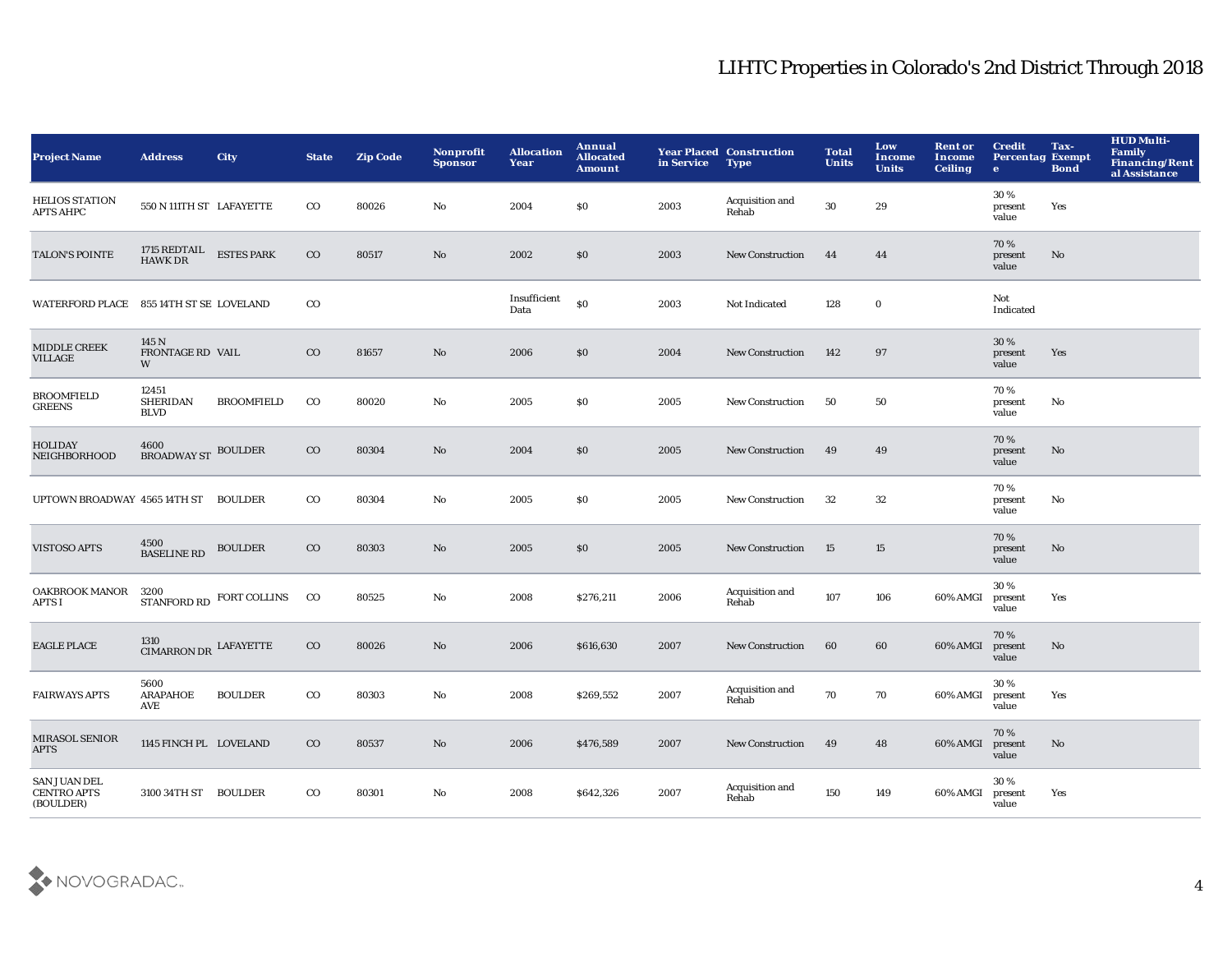| <b>Project Name</b>                                    | <b>Address</b>                               | <b>City</b>              | <b>State</b> | <b>Zip Code</b> | Nonprofit<br><b>Sponsor</b> | <b>Allocation</b><br>Year | <b>Annual</b><br><b>Allocated</b><br><b>Amount</b> | in Service | <b>Year Placed Construction</b><br><b>Type</b> | <b>Total</b><br><b>Units</b> | Low<br><b>Income</b><br><b>Units</b> | <b>Rent or</b><br><b>Income</b><br><b>Ceiling</b> | <b>Credit</b><br><b>Percentag Exempt</b><br>$\bullet$ | Tax-<br><b>Bond</b> | <b>HUD Multi-</b><br><b>Family</b><br>Financing/Rent<br>al Assistance |
|--------------------------------------------------------|----------------------------------------------|--------------------------|--------------|-----------------|-----------------------------|---------------------------|----------------------------------------------------|------------|------------------------------------------------|------------------------------|--------------------------------------|---------------------------------------------------|-------------------------------------------------------|---------------------|-----------------------------------------------------------------------|
| <b>HELIOS STATION</b><br>APTS AHPC                     | 550 N 111TH ST LAFAYETTE                     |                          | $_{\rm CO}$  | 80026           | No                          | 2004                      | \$0                                                | 2003       | Acquisition and<br>Rehab                       | 30                           | 29                                   |                                                   | 30 %<br>present<br>value                              | Yes                 |                                                                       |
| <b>TALON'S POINTE</b>                                  | 1715 $\rm{REDTAIL} \quad$ ESTES PARK HAWK DR |                          | $_{\rm CO}$  | 80517           | No                          | 2002                      | \$0                                                | 2003       | New Construction                               | 44                           | 44                                   |                                                   | 70 %<br>present<br>value                              | No                  |                                                                       |
| WATERFORD PLACE                                        | 855 14TH ST SE LOVELAND                      |                          | $_{\rm CO}$  |                 |                             | Insufficient<br>Data      | \$0                                                | 2003       | Not Indicated                                  | 128                          | $\mathbf 0$                          |                                                   | Not<br>Indicated                                      |                     |                                                                       |
| <b>MIDDLE CREEK</b><br><b>VILLAGE</b>                  | 145 N<br><b>FRONTAGE RD VAIL</b><br>W        |                          | $_{\rm CO}$  | 81657           | No                          | 2006                      | \$0                                                | 2004       | <b>New Construction</b>                        | 142                          | 97                                   |                                                   | 30 %<br>present<br>value                              | Yes                 |                                                                       |
| <b>BROOMFIELD</b><br><b>GREENS</b>                     | 12451<br><b>SHERIDAN</b><br><b>BLVD</b>      | <b>BROOMFIELD</b>        | $_{\rm CO}$  | 80020           | No                          | 2005                      | \$0                                                | 2005       | <b>New Construction</b>                        | 50                           | 50                                   |                                                   | 70%<br>present<br>value                               | No                  |                                                                       |
| <b>HOLIDAY</b><br>NEIGHBORHOOD                         | 4600<br><b>BROADWAY ST BOULDER</b>           |                          | $_{\rm CO}$  | 80304           | No                          | 2004                      | \$0                                                | 2005       | <b>New Construction</b>                        | 49                           | 49                                   |                                                   | 70%<br>present<br>value                               | No                  |                                                                       |
| UPTOWN BROADWAY 4565 14TH ST BOULDER                   |                                              |                          | $_{\rm CO}$  | 80304           | No                          | 2005                      | \$0                                                | 2005       | <b>New Construction</b>                        | 32                           | 32                                   |                                                   | 70%<br>present<br>value                               | No                  |                                                                       |
| <b>VISTOSO APTS</b>                                    | 4500<br>BASELINE RD                          | <b>BOULDER</b>           | $_{\rm CO}$  | 80303           | No                          | 2005                      | \$0                                                | 2005       | <b>New Construction</b>                        | 15                           | 15                                   |                                                   | 70%<br>present<br>value                               | No                  |                                                                       |
| <b>OAKBROOK MANOR</b><br>APTS I                        | 3200                                         | STANFORD RD FORT COLLINS | $_{\rm CO}$  | 80525           | No                          | 2008                      | \$276,211                                          | 2006       | Acquisition and<br>Rehab                       | 107                          | 106                                  | 60% AMGI                                          | 30%<br>present<br>value                               | Yes                 |                                                                       |
| <b>EAGLE PLACE</b>                                     | 1310<br>$\,$ CIMARRON DR $\,$ LAFAYETTE      |                          | $_{\rm CO}$  | 80026           | No                          | 2006                      | \$616,630                                          | 2007       | New Construction                               | 60                           | 60                                   | 60% AMGI                                          | 70%<br>present<br>value                               | No                  |                                                                       |
| <b>FAIRWAYS APTS</b>                                   | 5600<br>ARAPAHOE<br>AVE                      | <b>BOULDER</b>           | $_{\rm CO}$  | 80303           | No                          | 2008                      | \$269,552                                          | 2007       | Acquisition and<br>Rehab                       | 70                           | 70                                   | 60% AMGI                                          | 30%<br>present<br>value                               | Yes                 |                                                                       |
| MIRASOL SENIOR<br><b>APTS</b>                          | 1145 FINCH PL LOVELAND                       |                          | $_{\rm CO}$  | 80537           | No                          | 2006                      | \$476,589                                          | 2007       | <b>New Construction</b>                        | 49                           | 48                                   | 60% AMGI                                          | 70%<br>present<br>value                               | No                  |                                                                       |
| <b>SAN JUAN DEL</b><br><b>CENTRO APTS</b><br>(BOULDER) | 3100 34TH ST BOULDER                         |                          | $_{\rm CO}$  | 80301           | No                          | 2008                      | \$642,326                                          | 2007       | Acquisition and<br>Rehab                       | 150                          | 149                                  | 60% AMGI                                          | 30%<br>present<br>value                               | Yes                 |                                                                       |

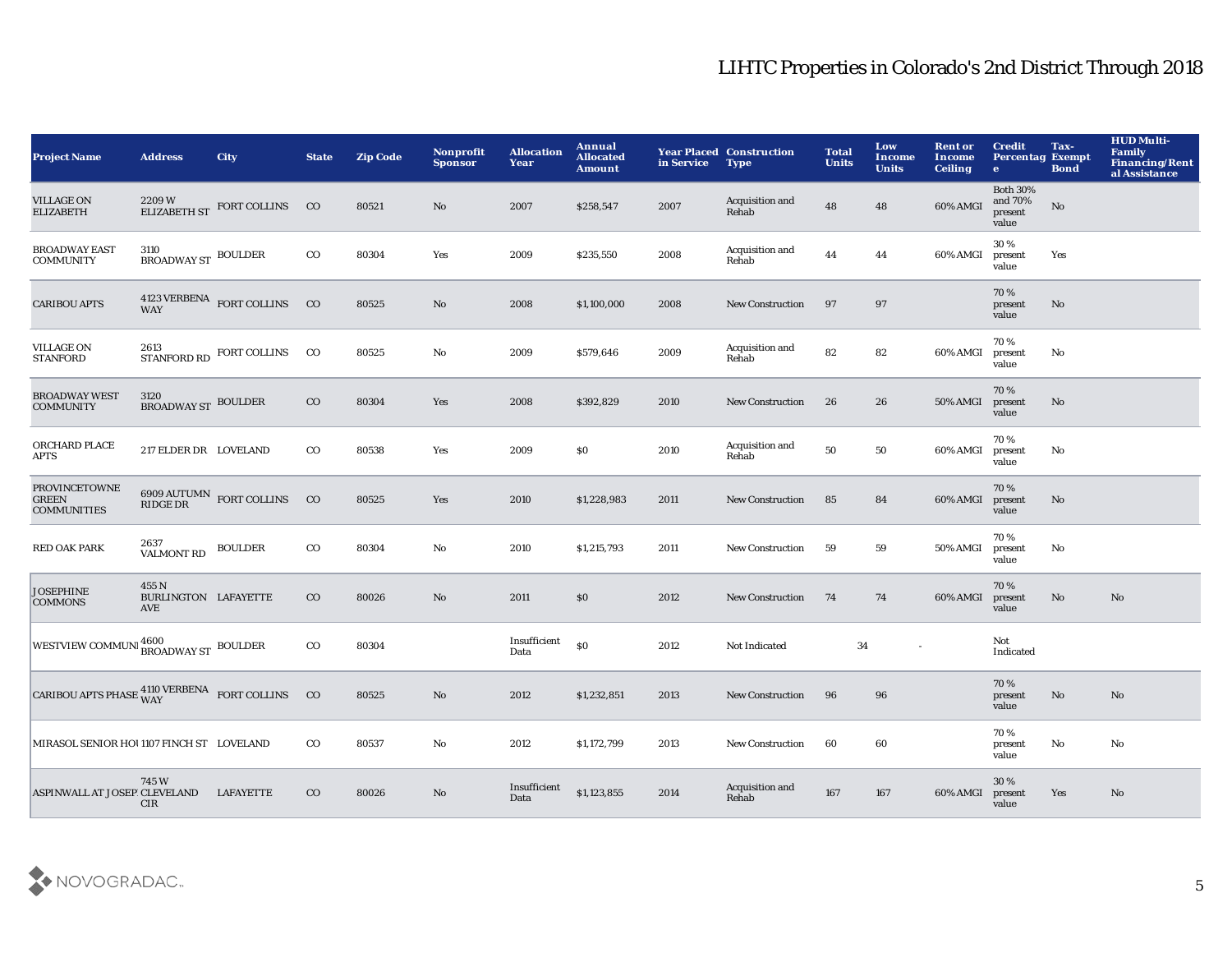| <b>Project Name</b>                                                | <b>Address</b>                       | <b>City</b>                     | <b>State</b> | <b>Zip Code</b> | <b>Nonprofit</b><br><b>Sponsor</b> | <b>Allocation</b><br>Year | Annual<br><b>Allocated</b><br><b>Amount</b> | in Service | <b>Year Placed Construction</b><br><b>Type</b> | <b>Total</b><br><b>Units</b> | Low<br><b>Income</b><br><b>Units</b> | <b>Rent or</b><br><b>Income</b><br><b>Ceiling</b> | <b>Credit</b><br><b>Percentag Exempt</b><br>$\bullet$ | Tax-<br><b>Bond</b> | <b>HUD Multi-</b><br><b>Family</b><br><b>Financing/Rent</b><br>al Assistance |
|--------------------------------------------------------------------|--------------------------------------|---------------------------------|--------------|-----------------|------------------------------------|---------------------------|---------------------------------------------|------------|------------------------------------------------|------------------------------|--------------------------------------|---------------------------------------------------|-------------------------------------------------------|---------------------|------------------------------------------------------------------------------|
| <b>VILLAGE ON</b><br><b>ELIZABETH</b>                              | 2209W                                | ELIZABETH ST FORT COLLINS       | $_{\rm CO}$  | 80521           | No                                 | 2007                      | \$258,547                                   | 2007       | Acquisition and<br>Rehab                       | 48                           | 48                                   | 60% AMGI                                          | <b>Both 30%</b><br>and 70%<br>present<br>value        | No                  |                                                                              |
| <b>BROADWAY EAST</b><br><b>COMMUNITY</b>                           | 3110<br>BROADWAY ST BOULDER          |                                 | $_{\rm CO}$  | 80304           | Yes                                | 2009                      | \$235,550                                   | 2008       | Acquisition and<br>Rehab                       | 44                           | 44                                   | 60% AMGI                                          | 30%<br>present<br>value                               | Yes                 |                                                                              |
| <b>CARIBOU APTS</b>                                                |                                      | 4123 VERBENA FORT COLLINS CO    |              | 80525           | $\mathbf{No}$                      | 2008                      | \$1,100,000                                 | 2008       | <b>New Construction</b>                        | 97                           | 97                                   |                                                   | 70%<br>present<br>value                               | No.                 |                                                                              |
| <b>VILLAGE ON</b><br><b>STANFORD</b>                               | 2613                                 | STANFORD RD FORT COLLINS        | $_{\rm CO}$  | 80525           | No                                 | 2009                      | \$579,646                                   | 2009       | Acquisition and<br>Rehab                       | 82                           | 82                                   | 60% AMGI                                          | 70%<br>present<br>value                               | No                  |                                                                              |
| <b>BROADWAY WEST</b><br><b>COMMUNITY</b>                           | 3120<br><b>BROADWAY ST BOULDER</b>   |                                 | $_{\rm CO}$  | 80304           | Yes                                | 2008                      | \$392,829                                   | 2010       | <b>New Construction</b>                        | 26                           | 26                                   | 50% AMGI                                          | 70%<br>present<br>value                               | No                  |                                                                              |
| ORCHARD PLACE<br><b>APTS</b>                                       | 217 ELDER DR LOVELAND                |                                 | $_{\rm CO}$  | 80538           | Yes                                | 2009                      | \$0                                         | 2010       | Acquisition and<br>Rehab                       | 50                           | 50                                   | 60% AMGI                                          | 70%<br>present<br>value                               | No                  |                                                                              |
| <b>PROVINCETOWNE</b><br><b>GREEN</b><br><b>COMMUNITIES</b>         | RIDGE DR                             | $6909$ AUTUMN $\,$ FORT COLLINS | $_{\rm CO}$  | 80525           | Yes                                | 2010                      | \$1,228,983                                 | 2011       | <b>New Construction</b>                        | 85                           | 84                                   | 60% AMGI                                          | 70%<br>present<br>value                               | No.                 |                                                                              |
| <b>RED OAK PARK</b>                                                | 2637<br><b>VALMONT RD</b>            | <b>BOULDER</b>                  | $_{\rm CO}$  | 80304           | No                                 | 2010                      | \$1,215,793                                 | 2011       | <b>New Construction</b>                        | 59                           | 59                                   | 50% AMGI                                          | 70%<br>present<br>value                               | No                  |                                                                              |
| <b>JOSEPHINE</b><br><b>COMMONS</b>                                 | 455 N<br>BURLINGTON LAFAYETTE<br>AVE |                                 | $_{\rm CO}$  | 80026           | No                                 | 2011                      | \$0                                         | 2012       | <b>New Construction</b>                        | 74                           | 74                                   | 60% AMGI                                          | 70%<br>present<br>value                               | No                  | No                                                                           |
| WESTVIEW COMMUNI <sup>4600</sup> BROADWAY ST BOULDER               |                                      |                                 | $_{\rm CO}$  | 80304           |                                    | Insufficient<br>Data      | <sub>so</sub>                               | 2012       | Not Indicated                                  | 34                           |                                      |                                                   | Not<br>Indicated                                      |                     |                                                                              |
| CARIBOU APTS PHASE $_{\rm WAY}^{4110 \rm \, VERBENA}$ FORT COLLINS |                                      |                                 | $_{\rm CO}$  | 80525           | $\mathbf{No}$                      | 2012                      | \$1,232,851                                 | 2013       | <b>New Construction</b>                        | 96                           | 96                                   |                                                   | 70%<br>present<br>value                               | No                  | No                                                                           |
| MIRASOL SENIOR HOU1107 FINCH ST LOVELAND                           |                                      |                                 | $_{\rm CO}$  | 80537           | No                                 | 2012                      | \$1,172,799                                 | 2013       | <b>New Construction</b>                        | 60                           | 60                                   |                                                   | 70%<br>present<br>value                               | No                  | No                                                                           |
| ASPINWALL AT JOSEPICLEVELAND                                       | 745W<br>CIR                          | <b>LAFAYETTE</b>                | $_{\rm CO}$  | 80026           | $\mathbf{No}$                      | Insufficient<br>Data      | \$1,123,855                                 | 2014       | Acquisition and<br>Rehab                       | 167                          | 167                                  | 60% AMGI                                          | 30 %<br>present<br>value                              | Yes                 | No                                                                           |

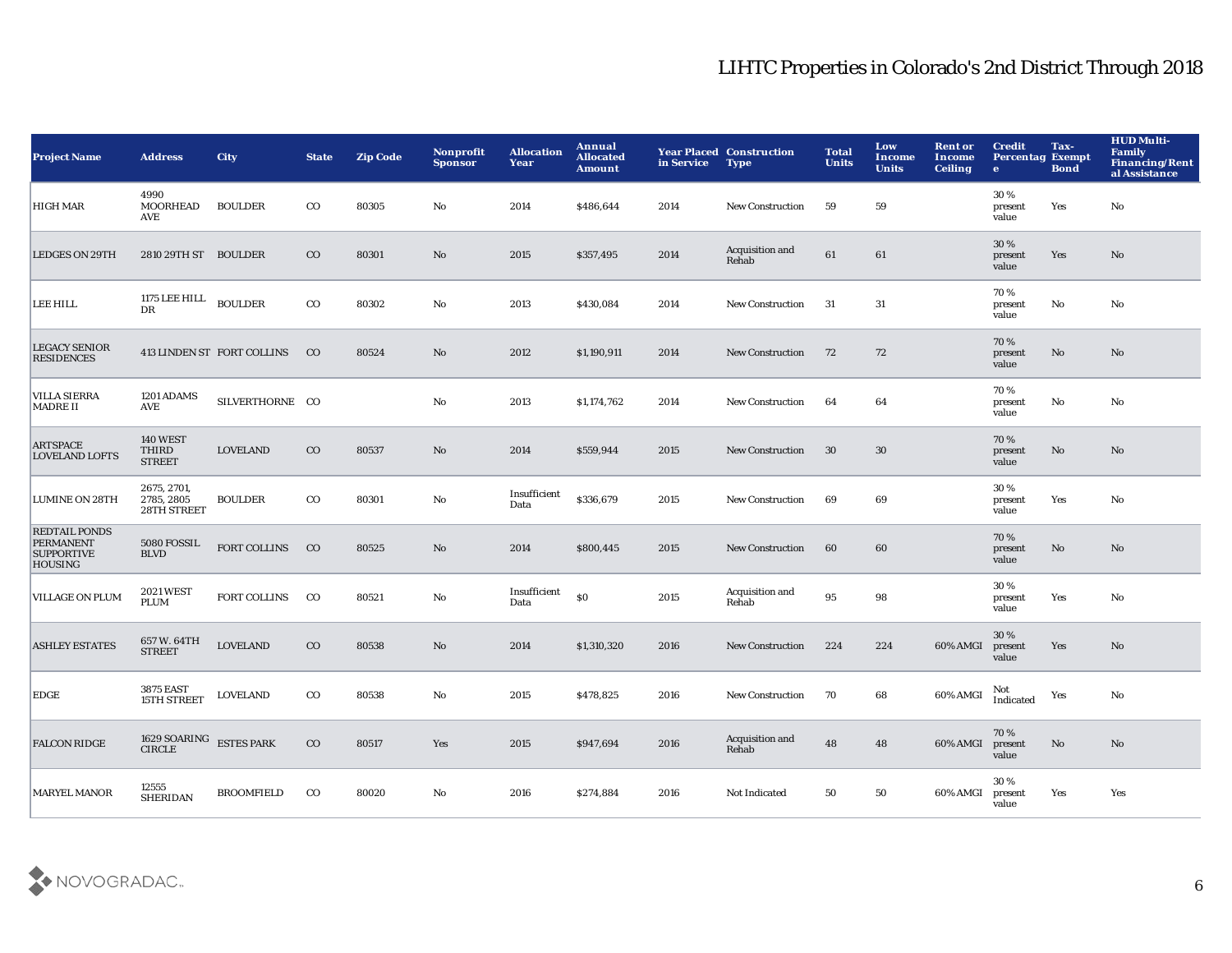| <b>Project Name</b>                                                             | <b>Address</b>                            | <b>City</b>                | <b>State</b> | <b>Zip Code</b> | Nonprofit<br><b>Sponsor</b> | <b>Allocation</b><br>Year | Annual<br><b>Allocated</b><br><b>Amount</b> | in Service | <b>Year Placed Construction</b><br><b>Type</b> | <b>Total</b><br><b>Units</b> | Low<br>Income<br><b>Units</b> | <b>Rent or</b><br><b>Income</b><br><b>Ceiling</b> | <b>Credit</b><br><b>Percentag Exempt</b><br>$\mathbf{e}$ | Tax-<br><b>Bond</b> | <b>HUD Multi-</b><br><b>Family</b><br><b>Financing/Rent</b><br>al Assistance |
|---------------------------------------------------------------------------------|-------------------------------------------|----------------------------|--------------|-----------------|-----------------------------|---------------------------|---------------------------------------------|------------|------------------------------------------------|------------------------------|-------------------------------|---------------------------------------------------|----------------------------------------------------------|---------------------|------------------------------------------------------------------------------|
| <b>HIGH MAR</b>                                                                 | 4990<br><b>MOORHEAD</b><br>AVE            | <b>BOULDER</b>             | $_{\rm CO}$  | 80305           | No                          | 2014                      | \$486,644                                   | 2014       | <b>New Construction</b>                        | 59                           | 59                            |                                                   | 30%<br>present<br>value                                  | Yes                 | No                                                                           |
| <b>LEDGES ON 29TH</b>                                                           | 2810 29TH ST BOULDER                      |                            | $_{\rm CO}$  | 80301           | No                          | 2015                      | \$357,495                                   | 2014       | Acquisition and<br>Rehab                       | 61                           | 61                            |                                                   | 30 %<br>present<br>value                                 | Yes                 | No                                                                           |
| <b>LEE HILL</b>                                                                 | 1175 LEE HILL<br>DR                       | <b>BOULDER</b>             | $_{\rm CO}$  | 80302           | No                          | 2013                      | \$430,084                                   | 2014       | <b>New Construction</b>                        | 31                           | 31                            |                                                   | 70%<br>present<br>value                                  | No                  | No                                                                           |
| <b>LEGACY SENIOR</b><br><b>RESIDENCES</b>                                       |                                           | 413 LINDEN ST FORT COLLINS | $_{\rm CO}$  | 80524           | No                          | 2012                      | \$1,190,911                                 | 2014       | <b>New Construction</b>                        | 72                           | 72                            |                                                   | 70%<br>present<br>value                                  | No                  | No                                                                           |
| <b>VILLA SIERRA</b><br><b>MADRE II</b>                                          | 1201 ADAMS<br>AVE                         | SILVERTHORNE CO            |              |                 | $\mathbf{No}$               | 2013                      | \$1,174,762                                 | 2014       | <b>New Construction</b>                        | 64                           | 64                            |                                                   | 70%<br>present<br>value                                  | No                  | No                                                                           |
| <b>ARTSPACE</b><br><b>LOVELAND LOFTS</b>                                        | <b>140 WEST</b><br>THIRD<br><b>STREET</b> | <b>LOVELAND</b>            | $_{\rm CO}$  | 80537           | No                          | 2014                      | \$559,944                                   | 2015       | <b>New Construction</b>                        | 30                           | 30                            |                                                   | 70%<br>present<br>value                                  | $\mathbf{No}$       | No                                                                           |
| <b>LUMINE ON 28TH</b>                                                           | 2675, 2701,<br>2785, 2805<br>28TH STREET  | <b>BOULDER</b>             | $_{\rm CO}$  | 80301           | No                          | Insufficient<br>Data      | \$336,679                                   | 2015       | <b>New Construction</b>                        | 69                           | 69                            |                                                   | 30%<br>present<br>value                                  | Yes                 | No                                                                           |
| <b>REDTAIL PONDS</b><br><b>PERMANENT</b><br><b>SUPPORTIVE</b><br><b>HOUSING</b> | 5080 FOSSIL<br><b>BLVD</b>                | <b>FORT COLLINS</b>        | $_{\rm CO}$  | 80525           | No                          | 2014                      | \$800,445                                   | 2015       | <b>New Construction</b>                        | 60                           | 60                            |                                                   | 70%<br>present<br>value                                  | No                  | No                                                                           |
| <b>VILLAGE ON PLUM</b>                                                          | <b>2021 WEST</b><br><b>PLUM</b>           | <b>FORT COLLINS</b>        | $_{\rm CO}$  | 80521           | No                          | Insufficient<br>Data      | \$0                                         | 2015       | Acquisition and<br>Rehab                       | 95                           | 98                            |                                                   | 30%<br>present<br>value                                  | Yes                 | No                                                                           |
| <b>ASHLEY ESTATES</b>                                                           | 657 W. 64TH<br><b>STREET</b>              | <b>LOVELAND</b>            | $_{\rm CO}$  | 80538           | No                          | 2014                      | \$1,310,320                                 | 2016       | <b>New Construction</b>                        | 224                          | 224                           | 60% AMGI                                          | 30 %<br>present<br>value                                 | Yes                 | No                                                                           |
| EDGE                                                                            | <b>3875 EAST</b><br><b>15TH STREET</b>    | <b>LOVELAND</b>            | $_{\rm CO}$  | 80538           | No                          | 2015                      | \$478,825                                   | 2016       | <b>New Construction</b>                        | 70                           | 68                            | 60% AMGI                                          | Not<br>Indicated                                         | Yes                 | No                                                                           |
| <b>FALCON RIDGE</b>                                                             | 1629 SOARING<br>CIRCLE                    | <b>ESTES PARK</b>          | $_{\rm CO}$  | 80517           | Yes                         | 2015                      | \$947,694                                   | 2016       | Acquisition and<br>Rehab                       | 48                           | 48                            | 60% AMGI                                          | 70%<br>present<br>value                                  | No                  | No                                                                           |
| <b>MARYEL MANOR</b>                                                             | 12555<br><b>SHERIDAN</b>                  | <b>BROOMFIELD</b>          | $_{\rm CO}$  | 80020           | No                          | 2016                      | \$274,884                                   | 2016       | Not Indicated                                  | 50                           | 50                            | 60% AMGI                                          | 30%<br>present<br>value                                  | Yes                 | Yes                                                                          |

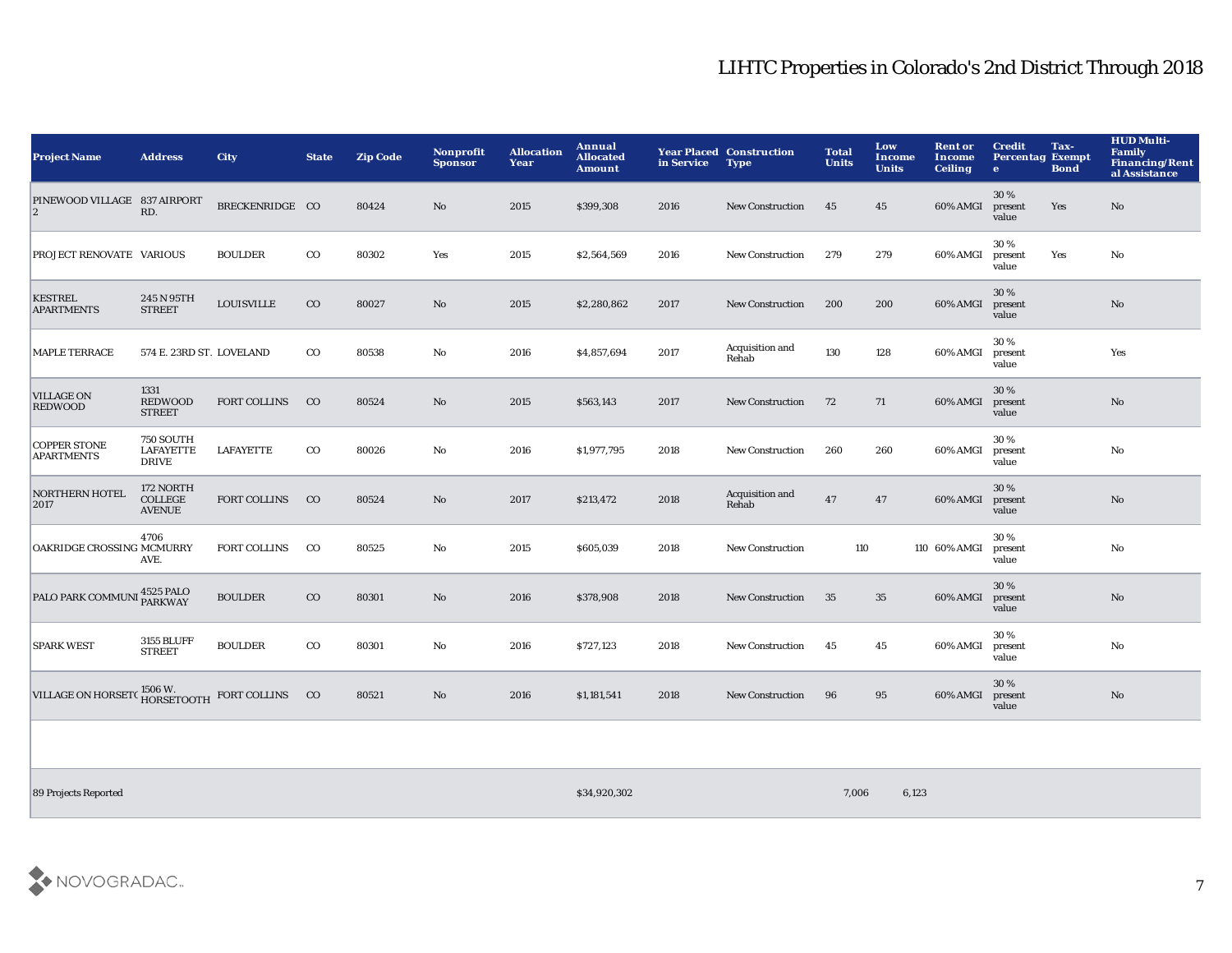| <b>Project Name</b>                         | <b>Address</b>                                       | <b>City</b>         | <b>State</b> | <b>Zip Code</b> | Nonprofit<br><b>Sponsor</b> | <b>Allocation</b><br>Year | Annual<br><b>Allocated</b><br><b>Amount</b> | in Service | <b>Year Placed Construction</b><br><b>Type</b> | <b>Total</b><br><b>Units</b> | Low<br><b>Income</b><br><b>Units</b> | <b>Rent or</b><br>Income<br><b>Ceiling</b> | <b>Credit</b><br><b>Percentag Exempt</b><br>$\mathbf{e}$ | Tax-<br><b>Bond</b> | <b>HUD Multi-</b><br>Family<br><b>Financing/Rent</b><br>al Assistance |
|---------------------------------------------|------------------------------------------------------|---------------------|--------------|-----------------|-----------------------------|---------------------------|---------------------------------------------|------------|------------------------------------------------|------------------------------|--------------------------------------|--------------------------------------------|----------------------------------------------------------|---------------------|-----------------------------------------------------------------------|
| PINEWOOD VILLAGE 837 AIRPORT<br>$ 2\rangle$ | RD.                                                  | BRECKENRIDGE CO     |              | 80424           | No                          | 2015                      | \$399,308                                   | 2016       | <b>New Construction</b>                        | 45                           | 45                                   | 60% AMGI                                   | 30%<br>present<br>value                                  | Yes                 | No                                                                    |
| <b>PROJECT RENOVATE VARIOUS</b>             |                                                      | <b>BOULDER</b>      | $_{\rm CO}$  | 80302           | Yes                         | 2015                      | \$2,564,569                                 | 2016       | <b>New Construction</b>                        | 279                          | 279                                  | 60% AMGI                                   | 30%<br>present<br>value                                  | Yes                 | No                                                                    |
| <b>KESTREL</b><br><b>APARTMENTS</b>         | 245 N 95TH<br><b>STREET</b>                          | <b>LOUISVILLE</b>   | $_{\rm CO}$  | 80027           | $\mathbf{No}$               | 2015                      | \$2,280,862                                 | 2017       | <b>New Construction</b>                        | 200                          | 200                                  | 60% AMGI                                   | 30%<br>present<br>value                                  |                     | No                                                                    |
| <b>MAPLE TERRACE</b>                        | 574 E. 23RD ST. LOVELAND                             |                     | $_{\rm CO}$  | 80538           | No                          | 2016                      | \$4,857,694                                 | 2017       | Acquisition and<br>Rehab                       | 130                          | 128                                  | 60% AMGI                                   | 30%<br>present<br>value                                  |                     | Yes                                                                   |
| <b>VILLAGE ON</b><br><b>REDWOOD</b>         | 1331<br><b>REDWOOD</b><br><b>STREET</b>              | <b>FORT COLLINS</b> | $_{\rm CO}$  | 80524           | $\mathbf{No}$               | 2015                      | \$563,143                                   | 2017       | <b>New Construction</b>                        | 72                           | 71                                   | 60% AMGI                                   | 30%<br>present<br>value                                  |                     | No                                                                    |
| <b>COPPER STONE</b><br><b>APARTMENTS</b>    | <b>750 SOUTH</b><br><b>LAFAYETTE</b><br><b>DRIVE</b> | <b>LAFAYETTE</b>    | $_{\rm CO}$  | 80026           | No                          | 2016                      | \$1,977,795                                 | 2018       | <b>New Construction</b>                        | 260                          | 260                                  | 60% AMGI                                   | 30 %<br>present<br>value                                 |                     | No                                                                    |
| <b>NORTHERN HOTEL</b><br>2017               | 172 NORTH<br><b>COLLEGE</b><br><b>AVENUE</b>         | <b>FORT COLLINS</b> | $_{\rm CO}$  | 80524           | No                          | 2017                      | \$213,472                                   | 2018       | Acquisition and<br>Rehab                       | 47                           | 47                                   | 60% AMGI                                   | 30%<br>present<br>value                                  |                     | No                                                                    |
| <b>OAKRIDGE CROSSING MCMURRY</b>            | 4706<br>AVE.                                         | <b>FORT COLLINS</b> | $_{\rm CO}$  | 80525           | No                          | 2015                      | \$605,039                                   | 2018       | New Construction                               | 110                          |                                      | 110 60% AMGI                               | 30%<br>present<br>value                                  |                     | No                                                                    |
| PALO PARK COMMUNI 4525 PALO                 |                                                      | <b>BOULDER</b>      | $_{\rm CO}$  | 80301           | $\mathbf{N}\mathbf{o}$      | 2016                      | \$378,908                                   | 2018       | <b>New Construction</b>                        | 35                           | 35                                   | 60% AMGI                                   | 30%<br>present<br>value                                  |                     | No                                                                    |
| <b>SPARK WEST</b>                           | <b>3155 BLUFF</b><br><b>STREET</b>                   | <b>BOULDER</b>      | $_{\rm CO}$  | 80301           | No                          | 2016                      | \$727,123                                   | 2018       | <b>New Construction</b>                        | 45                           | 45                                   | 60% AMGI                                   | 30%<br>present<br>value                                  |                     | No                                                                    |
| VILLAGE ON HORSETC <sup>1506</sup> W.       |                                                      | FORT COLLINS CO     |              | 80521           | No                          | 2016                      | \$1,181,541                                 | 2018       | <b>New Construction</b>                        | 96                           | 95                                   | 60% AMGI                                   | 30%<br>present<br>value                                  |                     | $\mathbf{N}\mathbf{o}$                                                |
|                                             |                                                      |                     |              |                 |                             |                           |                                             |            |                                                |                              |                                      |                                            |                                                          |                     |                                                                       |

89 Projects Reported \$34,920,302 7,006 6,123